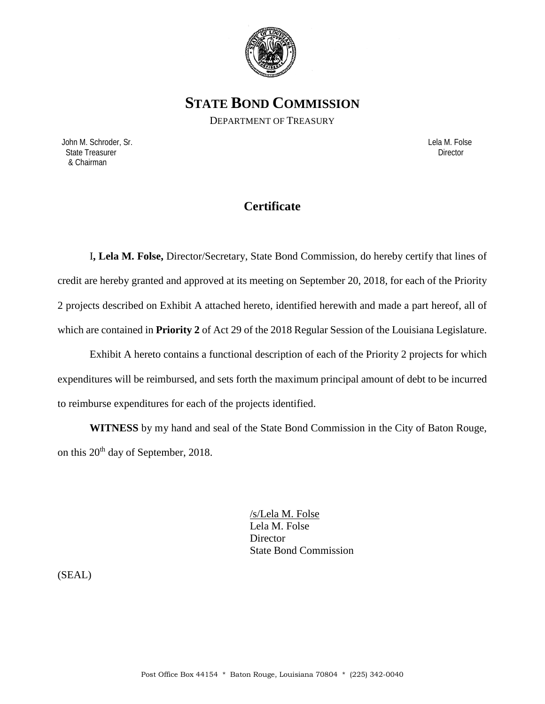

**STATE BOND COMMISSION**

DEPARTMENT OF TREASURY

 John M. Schroder, Sr. Lela M. Folse State Treasurer Director Contractor Contractor Contractor Contractor Contractor Contractor Director & Chairman

# **Certificate**

I**, Lela M. Folse,** Director/Secretary, State Bond Commission, do hereby certify that lines of credit are hereby granted and approved at its meeting on September 20, 2018, for each of the Priority 2 projects described on Exhibit A attached hereto, identified herewith and made a part hereof, all of which are contained in **Priority 2** of Act 29 of the 2018 Regular Session of the Louisiana Legislature.

Exhibit A hereto contains a functional description of each of the Priority 2 projects for which expenditures will be reimbursed, and sets forth the maximum principal amount of debt to be incurred to reimburse expenditures for each of the projects identified.

**WITNESS** by my hand and seal of the State Bond Commission in the City of Baton Rouge, on this  $20^{th}$  day of September, 2018.

> /s/Lela M. Folse Lela M. Folse **Director** State Bond Commission

(SEAL)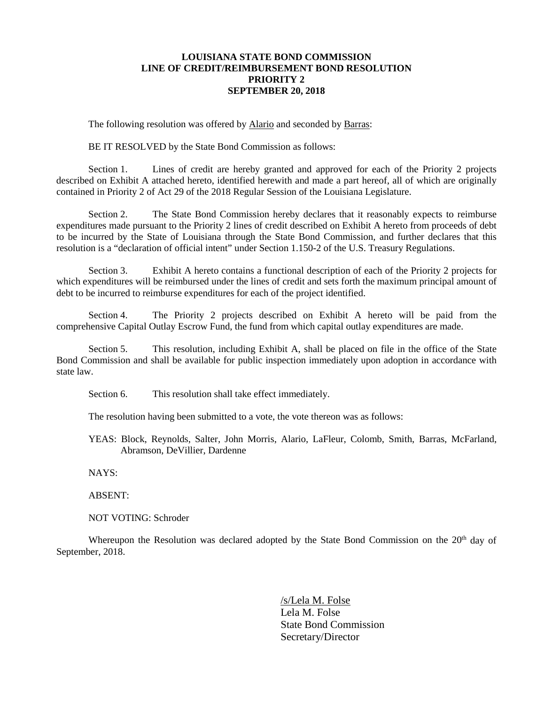### **LOUISIANA STATE BOND COMMISSION LINE OF CREDIT/REIMBURSEMENT BOND RESOLUTION PRIORITY 2 SEPTEMBER 20, 2018**

The following resolution was offered by Alario and seconded by Barras:

BE IT RESOLVED by the State Bond Commission as follows:

Section 1. Lines of credit are hereby granted and approved for each of the Priority 2 projects described on Exhibit A attached hereto, identified herewith and made a part hereof, all of which are originally contained in Priority 2 of Act 29 of the 2018 Regular Session of the Louisiana Legislature.

Section 2. The State Bond Commission hereby declares that it reasonably expects to reimburse expenditures made pursuant to the Priority 2 lines of credit described on Exhibit A hereto from proceeds of debt to be incurred by the State of Louisiana through the State Bond Commission, and further declares that this resolution is a "declaration of official intent" under Section 1.150-2 of the U.S. Treasury Regulations.

Section 3. Exhibit A hereto contains a functional description of each of the Priority 2 projects for which expenditures will be reimbursed under the lines of credit and sets forth the maximum principal amount of debt to be incurred to reimburse expenditures for each of the project identified.

Section 4. The Priority 2 projects described on Exhibit A hereto will be paid from the comprehensive Capital Outlay Escrow Fund, the fund from which capital outlay expenditures are made.

Section 5. This resolution, including Exhibit A, shall be placed on file in the office of the State Bond Commission and shall be available for public inspection immediately upon adoption in accordance with state law.

Section 6. This resolution shall take effect immediately.

The resolution having been submitted to a vote, the vote thereon was as follows:

YEAS: Block, Reynolds, Salter, John Morris, Alario, LaFleur, Colomb, Smith, Barras, McFarland, Abramson, DeVillier, Dardenne

NAYS:

ABSENT:

NOT VOTING: Schroder

Whereupon the Resolution was declared adopted by the State Bond Commission on the  $20<sup>th</sup>$  day of September, 2018.

> /s/Lela M. Folse Lela M. Folse State Bond Commission Secretary/Director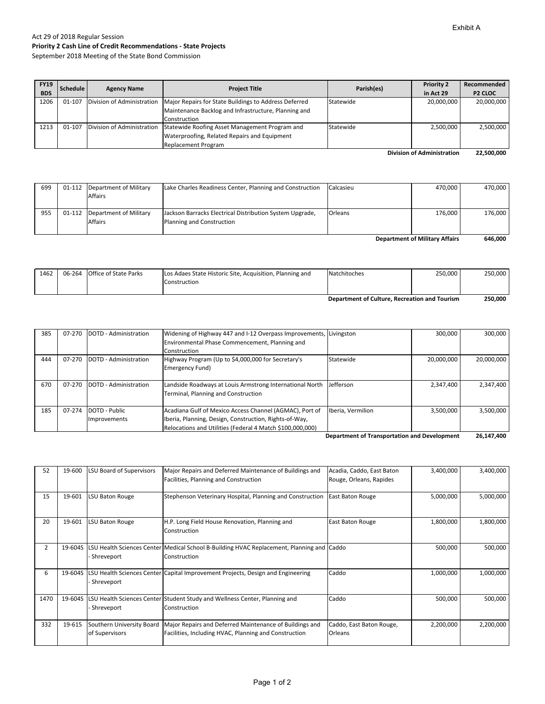## Act 29 of 2018 Regular Session **Priority 2 Cash Line of Credit Recommendations ‐ State Projects**

September 2018 Meeting of the State Bond Commission

| <b>FY19</b> | Schedule | <b>Agency Name</b> | <b>Project Title</b>                                                               | Parish(es) | <b>Priority 2</b> | Recommended         |
|-------------|----------|--------------------|------------------------------------------------------------------------------------|------------|-------------------|---------------------|
| <b>BDS</b>  |          |                    |                                                                                    |            | in Act 29         | P <sub>2</sub> CLOC |
| 1206        | 01-107   |                    | Division of Administration   Major Repairs for State Buildings to Address Deferred | Statewide  | 20,000,000        | 20,000,000          |
|             |          |                    | Maintenance Backlog and Infrastructure, Planning and                               |            |                   |                     |
|             |          |                    | Construction                                                                       |            |                   |                     |
| 1213        | 01-107   |                    | Division of Administration Statewide Roofing Asset Management Program and          | Statewide  | 2,500,000         | 2,500,000           |
|             |          |                    | Waterproofing, Related Repairs and Equipment                                       |            |                   |                     |
|             |          |                    | <b>Replacement Program</b>                                                         |            |                   |                     |

**22,500,000 Division of Administration**

| 699                                   |  | 01-112 Department of Military   | Lake Charles Readiness Center, Planning and Construction | Calcasieu | 470.000 | 470.000 |
|---------------------------------------|--|---------------------------------|----------------------------------------------------------|-----------|---------|---------|
|                                       |  | <b>Affairs</b>                  |                                                          |           |         |         |
|                                       |  |                                 |                                                          |           |         |         |
| 955                                   |  | 01-112   Department of Military | Jackson Barracks Electrical Distribution System Upgrade, | Orleans   | 176,000 | 176.000 |
|                                       |  | <b>Affairs</b>                  | Planning and Construction                                |           |         |         |
|                                       |  |                                 |                                                          |           |         |         |
| <b>Department of Military Affairs</b> |  |                                 |                                                          |           | 646.000 |         |

|      |                              | Construction                                             | Department of Culture, Recreation and Tourism |         | 250.000 |
|------|------------------------------|----------------------------------------------------------|-----------------------------------------------|---------|---------|
|      |                              |                                                          |                                               |         |         |
| 1462 | 06-264 Office of State Parks | Los Adaes State Historic Site, Acquisition, Planning and | Natchitoches                                  | 250.000 | 250,000 |

| 385 | 07-270 | DOTD - Administration | Widening of Highway 447 and I-12 Overpass Improvements, Livingston |                   | 300,000    | 300,000    |
|-----|--------|-----------------------|--------------------------------------------------------------------|-------------------|------------|------------|
|     |        |                       | Environmental Phase Commencement, Planning and                     |                   |            |            |
|     |        |                       | Construction                                                       |                   |            |            |
| 444 | 07-270 | DOTD - Administration | Highway Program (Up to \$4,000,000 for Secretary's                 | Statewide         | 20.000.000 | 20,000,000 |
|     |        |                       | Emergency Fund)                                                    |                   |            |            |
|     |        |                       |                                                                    |                   |            |            |
| 670 | 07-270 | DOTD - Administration | Landside Roadways at Louis Armstrong International North           | <b>Jefferson</b>  | 2,347,400  | 2,347,400  |
|     |        |                       | Terminal, Planning and Construction                                |                   |            |            |
|     |        |                       |                                                                    |                   |            |            |
| 185 | 07-274 | DOTD - Public         | Acadiana Gulf of Mexico Access Channel (AGMAC), Port of            | Iberia, Vermilion | 3.500.000  | 3,500,000  |
|     |        | Improvements          | Iberia, Planning, Design, Construction, Rights-of-Way,             |                   |            |            |
|     |        |                       | Relocations and Utilities (Federal 4 Match \$100,000,000)          |                   |            |            |

**26,147,400 Department of Transportation and Development** 

| 52             | 19-600  | <b>LSU Board of Supervisors</b>   | Major Repairs and Deferred Maintenance of Buildings and                                 | Acadia, Caddo, East Baton | 3,400,000 | 3,400,000 |
|----------------|---------|-----------------------------------|-----------------------------------------------------------------------------------------|---------------------------|-----------|-----------|
|                |         |                                   | Facilities, Planning and Construction                                                   | Rouge, Orleans, Rapides   |           |           |
|                |         |                                   |                                                                                         |                           |           |           |
| 15             | 19-601  | LSU Baton Rouge                   | Stephenson Veterinary Hospital, Planning and Construction                               | <b>East Baton Rouge</b>   | 5,000,000 | 5,000,000 |
|                |         |                                   |                                                                                         |                           |           |           |
| 20             | 19-601  | <b>LSU Baton Rouge</b>            | H.P. Long Field House Renovation, Planning and                                          | East Baton Rouge          | 1,800,000 | 1,800,000 |
|                |         |                                   | Construction                                                                            |                           |           |           |
|                |         |                                   |                                                                                         |                           |           |           |
| $\overline{2}$ | 19-604S | <b>LSU Health Sciences Center</b> | Medical School B-Building HVAC Replacement, Planning and Caddo                          |                           | 500,000   | 500,000   |
|                |         | Shreveport                        | Construction                                                                            |                           |           |           |
|                |         |                                   |                                                                                         |                           |           |           |
| 6              |         |                                   | 19-604S LSU Health Sciences Center Capital Improvement Projects, Design and Engineering | Caddo                     | 1,000,000 | 1,000,000 |
|                |         | Shreveport                        |                                                                                         |                           |           |           |
|                |         |                                   |                                                                                         |                           |           |           |
| 1470           | 19-604S |                                   | LSU Health Sciences Center Student Study and Wellness Center, Planning and              | Caddo                     | 500,000   | 500,000   |
|                |         | Shreveport                        | Construction                                                                            |                           |           |           |
|                |         |                                   |                                                                                         |                           |           |           |
| 332            | 19-615  | Southern University Board         | Major Repairs and Deferred Maintenance of Buildings and                                 | Caddo, East Baton Rouge,  | 2,200,000 | 2,200,000 |
|                |         | of Supervisors                    | Facilities, Including HVAC, Planning and Construction                                   | Orleans                   |           |           |
|                |         |                                   |                                                                                         |                           |           |           |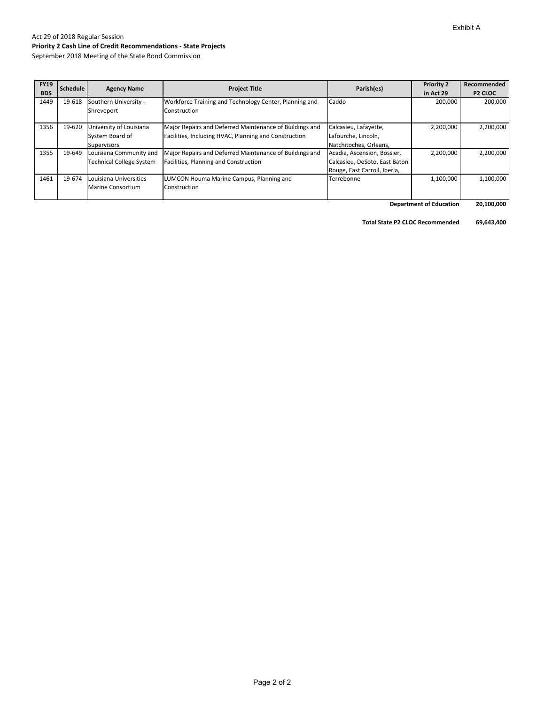## Act 29 of 2018 Regular Session **Priority 2 Cash Line of Credit Recommendations ‐ State Projects**

September 2018 Meeting of the State Bond Commission

| <b>FY19</b><br><b>BDS</b> | <b>Schedule</b> | <b>Agency Name</b>                                               | <b>Project Title</b>                                                                                             | Parish(es)                                                                                   | <b>Priority 2</b><br>in Act 29 | Recommended<br>P <sub>2</sub> CLOC |
|---------------------------|-----------------|------------------------------------------------------------------|------------------------------------------------------------------------------------------------------------------|----------------------------------------------------------------------------------------------|--------------------------------|------------------------------------|
| 1449                      | 19-618          | Southern University -<br>Shreveport                              | Workforce Training and Technology Center, Planning and<br>Construction                                           | Caddo                                                                                        | 200.000                        | 200,000                            |
| 1356                      | 19-620          | University of Louisiana<br>System Board of<br><b>Supervisors</b> | Major Repairs and Deferred Maintenance of Buildings and<br>Facilities, Including HVAC, Planning and Construction | Calcasieu, Lafayette,<br>Lafourche, Lincoln,<br>Natchitoches, Orleans,                       | 2,200,000                      | 2,200,000                          |
| 1355                      | 19-649          | Louisiana Community and<br><b>Technical College System</b>       | Major Repairs and Deferred Maintenance of Buildings and<br>Facilities, Planning and Construction                 | Acadia, Ascension, Bossier,<br>Calcasieu, DeSoto, East Baton<br>Rouge, East Carroll, Iberia, | 2,200,000                      | 2,200,000                          |
| 1461                      | 19-674          | Louisiana Universities<br>Marine Consortium                      | LUMCON Houma Marine Campus, Planning and<br>Construction                                                         | Terrebonne                                                                                   | 1,100,000                      | 1,100,000                          |

 **20,100,000 Department of Education**

**Total State P2 CLOC Recommended 69,643,400**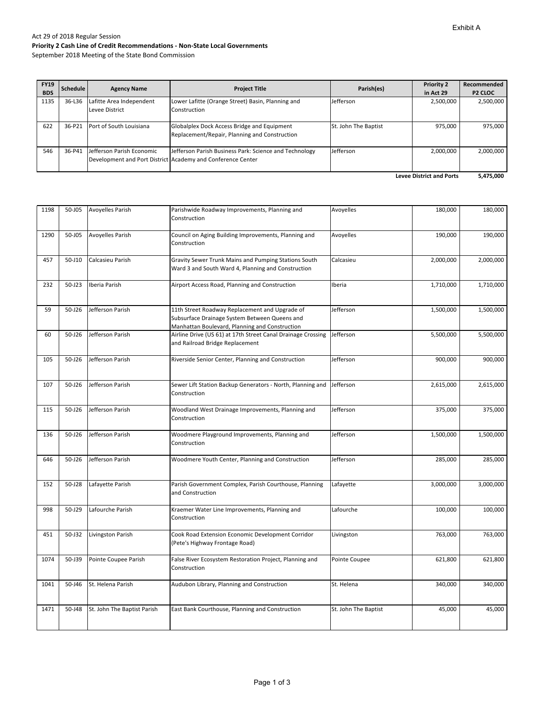#### Act 29 of 2018 Regular Session **Priority 2 Cash Line of Credit Recommendations ‐ Non‐State Local Governments**

September 2018 Meeting of the State Bond Commission

| <b>FY19</b><br><b>BDS</b>       | Schedule | <b>Agency Name</b>                         | <b>Project Title</b>                                                                                                  | Parish(es)           | <b>Priority 2</b><br>in Act 29 | Recommended<br>P <sub>2</sub> CLOC |
|---------------------------------|----------|--------------------------------------------|-----------------------------------------------------------------------------------------------------------------------|----------------------|--------------------------------|------------------------------------|
| 1135                            | 36-L36   | Lafitte Area Independent<br>Levee District | Lower Lafitte (Orange Street) Basin, Planning and<br>Construction                                                     | Jefferson            | 2,500,000                      | 2,500,000                          |
| 622                             | 36-P21   | Port of South Louisiana                    | Globalplex Dock Access Bridge and Equipment<br>Replacement/Repair, Planning and Construction                          | St. John The Baptist | 975.000                        | 975,000                            |
| 546                             | 36-P41   | Jefferson Parish Economic                  | Jefferson Parish Business Park: Science and Technology<br>Development and Port District Academy and Conference Center | Jefferson            | 2,000,000                      | 2,000,000                          |
| <b>Levee District and Ports</b> |          |                                            |                                                                                                                       |                      |                                | 5,475,000                          |

| 1198 | 50-J05     | <b>Avoyelles Parish</b>     | Parishwide Roadway Improvements, Planning and<br>Construction                                                                                     | Avoyelles            | 180,000   | 180,000   |
|------|------------|-----------------------------|---------------------------------------------------------------------------------------------------------------------------------------------------|----------------------|-----------|-----------|
| 1290 | 50-J05     | <b>Avoyelles Parish</b>     | Council on Aging Building Improvements, Planning and<br>Construction                                                                              | Avoyelles            | 190,000   | 190,000   |
| 457  | 50-J10     | Calcasieu Parish            | Gravity Sewer Trunk Mains and Pumping Stations South<br>Ward 3 and South Ward 4, Planning and Construction                                        | Calcasieu            | 2,000,000 | 2,000,000 |
| 232  | $50 - J23$ | Iberia Parish               | Airport Access Road, Planning and Construction                                                                                                    | Iberia               | 1,710,000 | 1,710,000 |
| 59   | 50-J26     | Jefferson Parish            | 11th Street Roadway Replacement and Upgrade of<br>Subsurface Drainage System Between Queens and<br>Manhattan Boulevard, Planning and Construction | Jefferson            | 1,500,000 | 1,500,000 |
| 60   | 50-J26     | Jefferson Parish            | Airline Drive (US 61) at 17th Street Canal Drainage Crossing<br>and Railroad Bridge Replacement                                                   | Jefferson            | 5,500,000 | 5,500,000 |
| 105  | 50-J26     | Jefferson Parish            | Riverside Senior Center, Planning and Construction                                                                                                | Jefferson            | 900,000   | 900,000   |
| 107  | 50-J26     | Jefferson Parish            | Sewer Lift Station Backup Generators - North, Planning and<br>Construction                                                                        | Jefferson            | 2,615,000 | 2,615,000 |
| 115  | 50-J26     | Jefferson Parish            | Woodland West Drainage Improvements, Planning and<br>Construction                                                                                 | Jefferson            | 375,000   | 375,000   |
| 136  | 50-J26     | Jefferson Parish            | Woodmere Playground Improvements, Planning and<br>Construction                                                                                    | Jefferson            | 1,500,000 | 1,500,000 |
| 646  | 50-J26     | Jefferson Parish            | Woodmere Youth Center, Planning and Construction                                                                                                  | Jefferson            | 285,000   | 285,000   |
| 152  | 50-J28     | Lafayette Parish            | Parish Government Complex, Parish Courthouse, Planning<br>and Construction                                                                        | Lafayette            | 3,000,000 | 3,000,000 |
| 998  | 50-J29     | Lafourche Parish            | Kraemer Water Line Improvements, Planning and<br>Construction                                                                                     | Lafourche            | 100,000   | 100,000   |
| 451  | 50-J32     | Livingston Parish           | Cook Road Extension Economic Development Corridor<br>(Pete's Highway Frontage Road)                                                               | Livingston           | 763,000   | 763,000   |
| 1074 | 50-J39     | Pointe Coupee Parish        | False River Ecosystem Restoration Project, Planning and<br>Construction                                                                           | Pointe Coupee        | 621,800   | 621,800   |
| 1041 | 50-J46     | St. Helena Parish           | Audubon Library, Planning and Construction                                                                                                        | St. Helena           | 340,000   | 340,000   |
| 1471 | 50-J48     | St. John The Baptist Parish | East Bank Courthouse, Planning and Construction                                                                                                   | St. John The Baptist | 45,000    | 45,000    |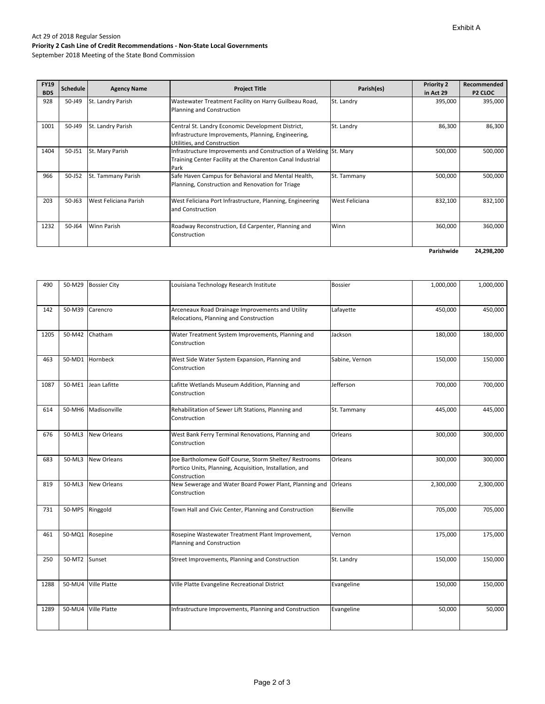#### Act 29 of 2018 Regular Session **Priority 2 Cash Line of Credit Recommendations ‐ Non‐State Local Governments**

September 2018 Meeting of the State Bond Commission

| <b>FY19</b><br><b>BDS</b> | <b>Schedule</b> | <b>Agency Name</b>    | <b>Project Title</b>                                                                                                                     | Parish(es)     | <b>Priority 2</b><br>in Act 29 | Recommended<br><b>P2 CLOC</b> |
|---------------------------|-----------------|-----------------------|------------------------------------------------------------------------------------------------------------------------------------------|----------------|--------------------------------|-------------------------------|
| 928                       | 50-J49          | St. Landry Parish     | Wastewater Treatment Facility on Harry Guilbeau Road,<br>Planning and Construction                                                       | St. Landry     | 395,000                        | 395,000                       |
| 1001                      | 50-J49          | St. Landry Parish     | Central St. Landry Economic Development District,<br>Infrastructure Improvements, Planning, Engineering,<br>Utilities, and Construction  | St. Landry     | 86,300                         | 86,300                        |
| 1404                      | 50-J51          | St. Mary Parish       | Infrastructure Improvements and Construction of a Welding St. Mary<br>Training Center Facility at the Charenton Canal Industrial<br>Park |                | 500,000                        | 500,000                       |
| 966                       | 50-J52          | St. Tammany Parish    | Safe Haven Campus for Behavioral and Mental Health,<br>Planning, Construction and Renovation for Triage                                  | St. Tammany    | 500,000                        | 500,000                       |
| 203                       | $50 - 163$      | West Feliciana Parish | West Feliciana Port Infrastructure, Planning, Engineering<br>and Construction                                                            | West Feliciana | 832,100                        | 832,100                       |
| 1232                      | 50-J64          | <b>Winn Parish</b>    | Roadway Reconstruction, Ed Carpenter, Planning and<br>Construction                                                                       | Winn           | 360,000                        | 360,000                       |
|                           |                 |                       |                                                                                                                                          |                | Parishwide                     | 24,298,200                    |

| 490  | 50-M29        | <b>Bossier City</b> | Louisiana Technology Research Institute                                                                                          | <b>Bossier</b>   | 1,000,000 | 1,000,000 |
|------|---------------|---------------------|----------------------------------------------------------------------------------------------------------------------------------|------------------|-----------|-----------|
| 142  | 50-M39        | Carencro            | Arceneaux Road Drainage Improvements and Utility<br>Relocations, Planning and Construction                                       | Lafayette        | 450,000   | 450,000   |
| 1205 | 50-M42        | Chatham             | Water Treatment System Improvements, Planning and<br>Construction                                                                | Jackson          | 180,000   | 180,000   |
| 463  |               | 50-MD1 Hornbeck     | West Side Water System Expansion, Planning and<br>Construction                                                                   | Sabine, Vernon   | 150,000   | 150,000   |
| 1087 | 50-ME1        | Jean Lafitte        | Lafitte Wetlands Museum Addition, Planning and<br>Construction                                                                   | Jefferson        | 700,000   | 700,000   |
| 614  |               | 50-MH6 Madisonville | Rehabilitation of Sewer Lift Stations, Planning and<br>Construction                                                              | St. Tammany      | 445,000   | 445,000   |
| 676  | 50-ML3        | <b>New Orleans</b>  | West Bank Ferry Terminal Renovations, Planning and<br>Construction                                                               | Orleans          | 300,000   | 300,000   |
| 683  | 50-ML3        | <b>New Orleans</b>  | Joe Bartholomew Golf Course, Storm Shelter/ Restrooms<br>Portico Units, Planning, Acquisition, Installation, and<br>Construction | Orleans          | 300,000   | 300,000   |
| 819  | 50-ML3        | <b>New Orleans</b>  | New Sewerage and Water Board Power Plant, Planning and<br>Construction                                                           | Orleans          | 2,300,000 | 2,300,000 |
| 731  |               | 50-MP5 Ringgold     | Town Hall and Civic Center, Planning and Construction                                                                            | <b>Bienville</b> | 705,000   | 705,000   |
| 461  |               | 50-MQ1 Rosepine     | Rosepine Wastewater Treatment Plant Improvement,<br>Planning and Construction                                                    | Vernon           | 175,000   | 175,000   |
| 250  | 50-MT2 Sunset |                     | Street Improvements, Planning and Construction                                                                                   | St. Landry       | 150,000   | 150,000   |
| 1288 | 50-MU4        | <b>Ville Platte</b> | Ville Platte Evangeline Recreational District                                                                                    | Evangeline       | 150,000   | 150,000   |
| 1289 |               | 50-MU4 Ville Platte | Infrastructure Improvements, Planning and Construction                                                                           | Evangeline       | 50,000    | 50,000    |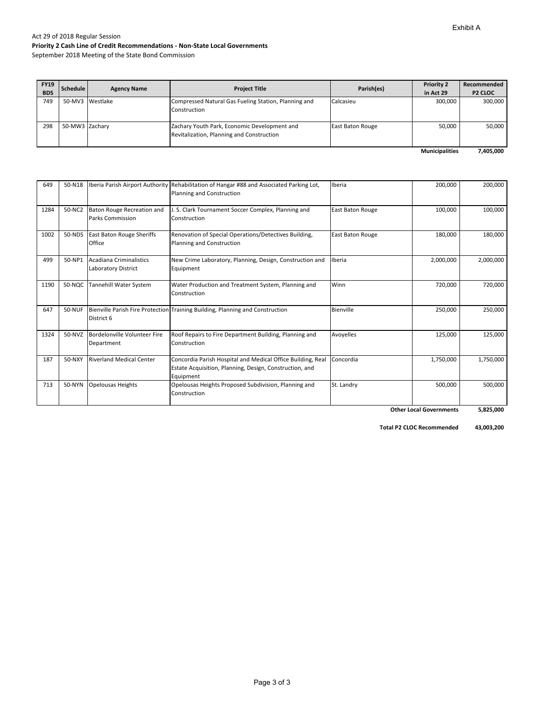#### Exhibit A

#### Act 29 of 2018 Regular Session **Priority 2 Cash Line of Credit Recommendations ‐ Non‐State Local Governments**

September 2018 Meeting of the State Bond Commission

| <b>FY19</b><br><b>BDS</b> | <b>Schedule</b> | <b>Agency Name</b> | <b>Project Title</b>                                                                      | Parish(es)              | <b>Priority 2</b><br>in Act 29 | Recommended<br><b>P2 CLOC</b> |
|---------------------------|-----------------|--------------------|-------------------------------------------------------------------------------------------|-------------------------|--------------------------------|-------------------------------|
| 749                       |                 | 50-MV3 Westlake    | Compressed Natural Gas Fueling Station, Planning and<br>Construction                      | Calcasieu               | 300,000                        | 300,000                       |
| 298                       | 50-MW3 Zachary  |                    | Zachary Youth Park, Economic Development and<br>Revitalization, Planning and Construction | <b>East Baton Rouge</b> | 50,000                         | 50,000                        |
|                           |                 |                    |                                                                                           |                         | <b>Municipalities</b>          | 7,405,000                     |

| 649  | 50-N18 |                                                       | Iberia Parish Airport Authority Rehabilitation of Hangar #88 and Associated Parking Lot,<br>Planning and Construction               | Iberia           | 200,000   | 200,000   |
|------|--------|-------------------------------------------------------|-------------------------------------------------------------------------------------------------------------------------------------|------------------|-----------|-----------|
| 1284 | 50-NC2 | Baton Rouge Recreation and<br><b>Parks Commission</b> | J. S. Clark Tournament Soccer Complex, Planning and<br>Construction                                                                 | East Baton Rouge | 100,000   | 100,000   |
| 1002 | 50-NDS | <b>East Baton Rouge Sheriffs</b><br>Office            | Renovation of Special Operations/Detectives Building,<br>Planning and Construction                                                  | East Baton Rouge | 180,000   | 180,000   |
| 499  | 50-NP1 | Acadiana Criminalistics<br><b>Laboratory District</b> | New Crime Laboratory, Planning, Design, Construction and<br>Equipment                                                               | Iberia           | 2,000,000 | 2,000,000 |
| 1190 | 50-NQC | Tannehill Water System                                | Water Production and Treatment System, Planning and<br>Construction                                                                 | Winn             | 720,000   | 720,000   |
| 647  | 50-NUF | District 6                                            | Bienville Parish Fire Protection Training Building, Planning and Construction                                                       | Bienville        | 250,000   | 250,000   |
| 1324 | 50-NVZ | Bordelonville Volunteer Fire<br>Department            | Roof Repairs to Fire Department Building, Planning and<br>Construction                                                              | Avoyelles        | 125,000   | 125,000   |
| 187  | 50-NXY | <b>Riverland Medical Center</b>                       | Concordia Parish Hospital and Medical Office Building, Real<br>Estate Acquisition, Planning, Design, Construction, and<br>Equipment | Concordia        | 1,750,000 | 1,750,000 |
| 713  | 50-NYN | <b>Opelousas Heights</b>                              | Opelousas Heights Proposed Subdivision, Planning and<br>Construction                                                                | St. Landry       | 500,000   | 500,000   |

 **5,825,000 Other Local Governments**

 **43,003,200 Total P2 CLOC Recommended**